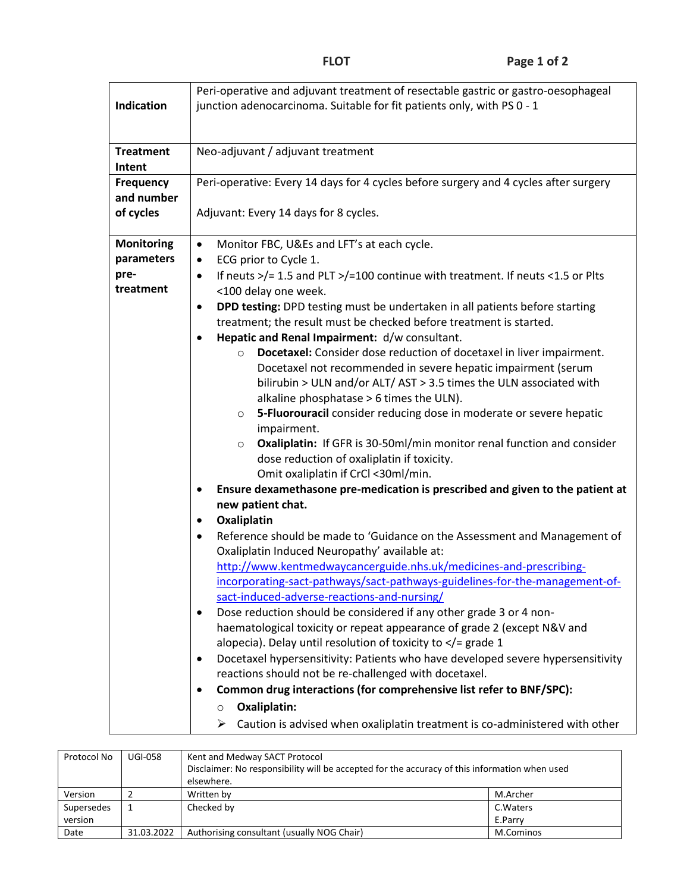|                   | Peri-operative and adjuvant treatment of resectable gastric or gastro-oesophageal            |  |  |  |  |  |
|-------------------|----------------------------------------------------------------------------------------------|--|--|--|--|--|
| <b>Indication</b> | junction adenocarcinoma. Suitable for fit patients only, with PS 0 - 1                       |  |  |  |  |  |
|                   |                                                                                              |  |  |  |  |  |
|                   |                                                                                              |  |  |  |  |  |
| <b>Treatment</b>  | Neo-adjuvant / adjuvant treatment                                                            |  |  |  |  |  |
| Intent            |                                                                                              |  |  |  |  |  |
| Frequency         | Peri-operative: Every 14 days for 4 cycles before surgery and 4 cycles after surgery         |  |  |  |  |  |
| and number        |                                                                                              |  |  |  |  |  |
| of cycles         | Adjuvant: Every 14 days for 8 cycles.                                                        |  |  |  |  |  |
|                   |                                                                                              |  |  |  |  |  |
| <b>Monitoring</b> | Monitor FBC, U&Es and LFT's at each cycle.<br>$\bullet$                                      |  |  |  |  |  |
| parameters        | ECG prior to Cycle 1.<br>$\bullet$                                                           |  |  |  |  |  |
| pre-              |                                                                                              |  |  |  |  |  |
| treatment         | If neuts >/= 1.5 and PLT >/=100 continue with treatment. If neuts <1.5 or Plts<br>$\bullet$  |  |  |  |  |  |
|                   | <100 delay one week.                                                                         |  |  |  |  |  |
|                   | DPD testing: DPD testing must be undertaken in all patients before starting<br>$\bullet$     |  |  |  |  |  |
|                   | treatment; the result must be checked before treatment is started.                           |  |  |  |  |  |
|                   | Hepatic and Renal Impairment: d/w consultant.<br>$\bullet$                                   |  |  |  |  |  |
|                   | Docetaxel: Consider dose reduction of docetaxel in liver impairment.<br>$\circ$              |  |  |  |  |  |
|                   | Docetaxel not recommended in severe hepatic impairment (serum                                |  |  |  |  |  |
|                   | bilirubin > ULN and/or ALT/ AST > 3.5 times the ULN associated with                          |  |  |  |  |  |
|                   | alkaline phosphatase > 6 times the ULN).                                                     |  |  |  |  |  |
|                   | 5-Fluorouracil consider reducing dose in moderate or severe hepatic<br>$\circ$               |  |  |  |  |  |
|                   | impairment.                                                                                  |  |  |  |  |  |
|                   | Oxaliplatin: If GFR is 30-50ml/min monitor renal function and consider<br>$\circ$            |  |  |  |  |  |
|                   | dose reduction of oxaliplatin if toxicity.                                                   |  |  |  |  |  |
|                   | Omit oxaliplatin if CrCl <30ml/min.                                                          |  |  |  |  |  |
|                   | Ensure dexamethasone pre-medication is prescribed and given to the patient at<br>$\bullet$   |  |  |  |  |  |
|                   | new patient chat.                                                                            |  |  |  |  |  |
|                   | Oxaliplatin<br>$\bullet$                                                                     |  |  |  |  |  |
|                   | Reference should be made to 'Guidance on the Assessment and Management of<br>$\bullet$       |  |  |  |  |  |
|                   | Oxaliplatin Induced Neuropathy' available at:                                                |  |  |  |  |  |
|                   | http://www.kentmedwaycancerguide.nhs.uk/medicines-and-prescribing-                           |  |  |  |  |  |
|                   | incorporating-sact-pathways/sact-pathways-guidelines-for-the-management-of-                  |  |  |  |  |  |
|                   | sact-induced-adverse-reactions-and-nursing/                                                  |  |  |  |  |  |
|                   | Dose reduction should be considered if any other grade 3 or 4 non-<br>$\bullet$              |  |  |  |  |  |
|                   | haematological toxicity or repeat appearance of grade 2 (except N&V and                      |  |  |  |  |  |
|                   | alopecia). Delay until resolution of toxicity to $\lt/$ = grade 1                            |  |  |  |  |  |
|                   | Docetaxel hypersensitivity: Patients who have developed severe hypersensitivity<br>$\bullet$ |  |  |  |  |  |
|                   | reactions should not be re-challenged with docetaxel.                                        |  |  |  |  |  |
|                   | Common drug interactions (for comprehensive list refer to BNF/SPC):<br>٠                     |  |  |  |  |  |
|                   | Oxaliplatin:                                                                                 |  |  |  |  |  |
|                   | $\circ$                                                                                      |  |  |  |  |  |
|                   | Caution is advised when oxaliplatin treatment is co-administered with other<br>➤             |  |  |  |  |  |

| Protocol No | <b>UGI-058</b> | Kent and Medway SACT Protocol                                                                 |           |  |
|-------------|----------------|-----------------------------------------------------------------------------------------------|-----------|--|
|             |                | Disclaimer: No responsibility will be accepted for the accuracy of this information when used |           |  |
|             |                | elsewhere.                                                                                    |           |  |
| Version     |                | Written by                                                                                    | M.Archer  |  |
| Supersedes  |                | Checked by                                                                                    | C. Waters |  |
| version     |                |                                                                                               | E.Parry   |  |
| Date        | 31.03.2022     | Authorising consultant (usually NOG Chair)                                                    | M.Cominos |  |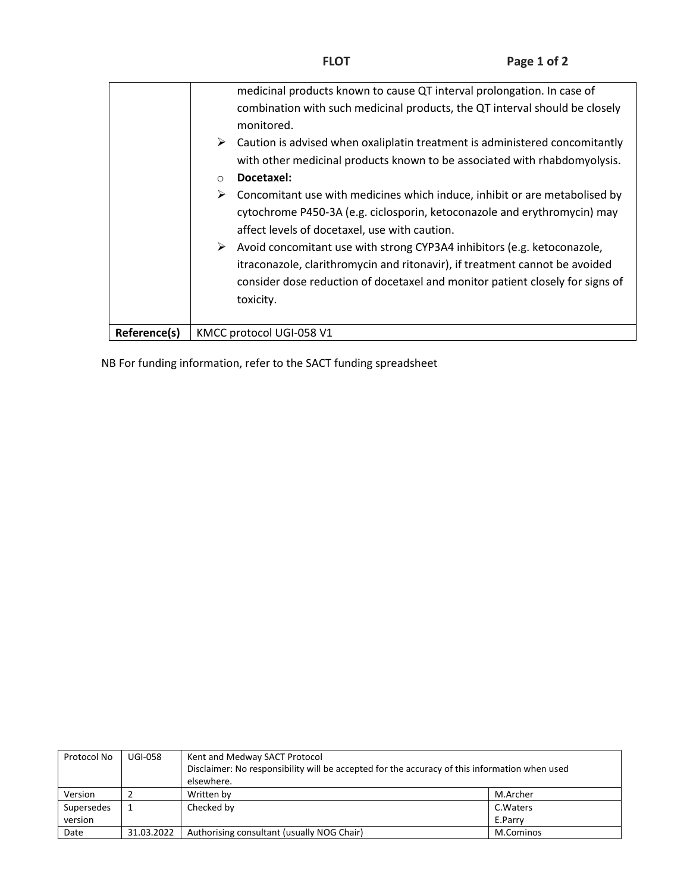| Reference(s) | KMCC protocol UGI-058 V1                                                                                                                                                                                                                                                                                                                                                                                                                                                                                                                                                                                                                                                                                                                                            |
|--------------|---------------------------------------------------------------------------------------------------------------------------------------------------------------------------------------------------------------------------------------------------------------------------------------------------------------------------------------------------------------------------------------------------------------------------------------------------------------------------------------------------------------------------------------------------------------------------------------------------------------------------------------------------------------------------------------------------------------------------------------------------------------------|
|              | combination with such medicinal products, the QT interval should be closely<br>monitored.<br>Caution is advised when oxaliplatin treatment is administered concomitantly<br>➤<br>with other medicinal products known to be associated with rhabdomyolysis.<br>Docetaxel:<br>$\bigcirc$<br>Concomitant use with medicines which induce, inhibit or are metabolised by<br>➤<br>cytochrome P450-3A (e.g. ciclosporin, ketoconazole and erythromycin) may<br>affect levels of docetaxel, use with caution.<br>Avoid concomitant use with strong CYP3A4 inhibitors (e.g. ketoconazole,<br>➤<br>itraconazole, clarithromycin and ritonavir), if treatment cannot be avoided<br>consider dose reduction of docetaxel and monitor patient closely for signs of<br>toxicity. |
|              | medicinal products known to cause QT interval prolongation. In case of                                                                                                                                                                                                                                                                                                                                                                                                                                                                                                                                                                                                                                                                                              |

NB For funding information, refer to the SACT funding spreadsheet

| Protocol No | <b>UGI-058</b> | Kent and Medway SACT Protocol                                                                 |           |  |
|-------------|----------------|-----------------------------------------------------------------------------------------------|-----------|--|
|             |                | Disclaimer: No responsibility will be accepted for the accuracy of this information when used |           |  |
|             |                | elsewhere.                                                                                    |           |  |
| Version     |                | Written by                                                                                    | M.Archer  |  |
| Supersedes  |                | Checked by                                                                                    | C. Waters |  |
| version     |                |                                                                                               | E.Parry   |  |
| Date        | 31.03.2022     | Authorising consultant (usually NOG Chair)                                                    | M.Cominos |  |